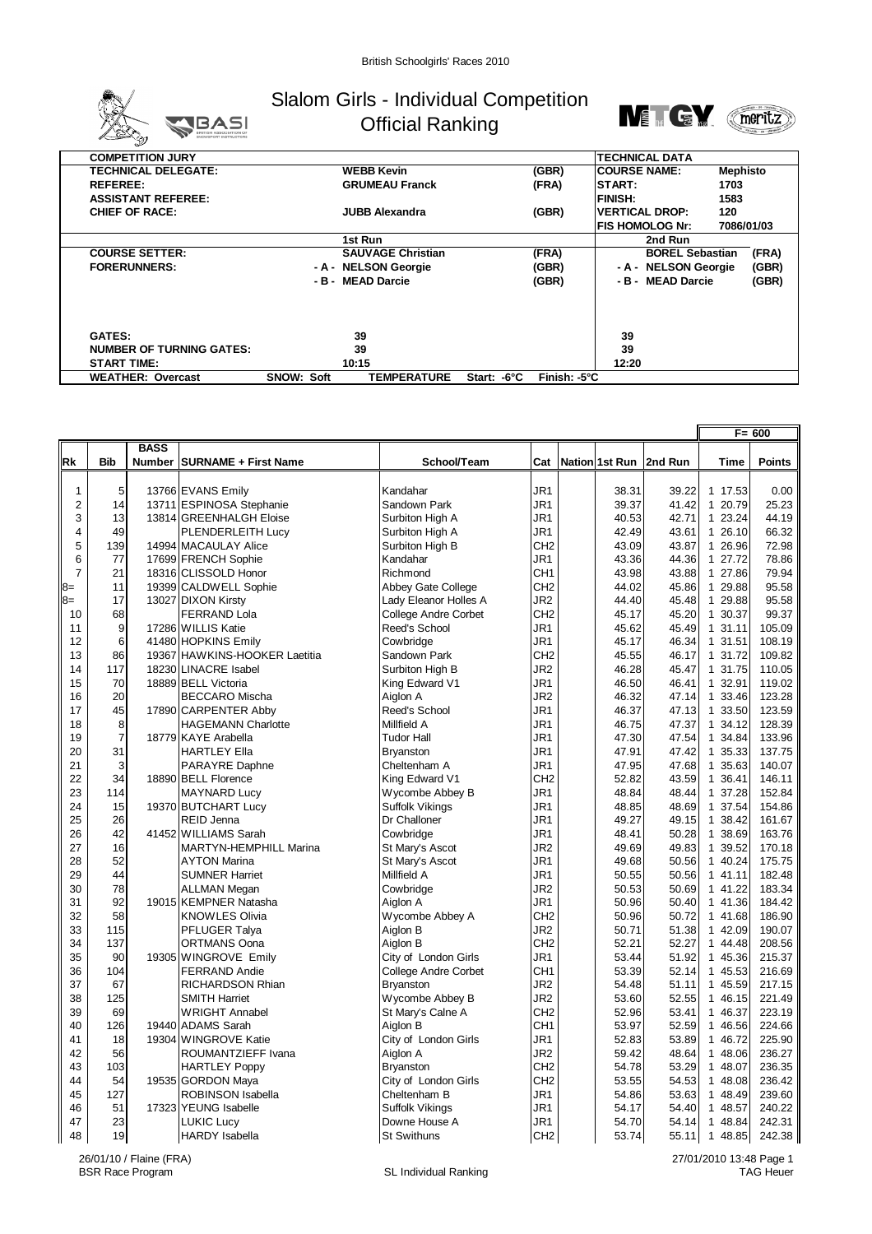

## Slalom Girls - Individual Competition Official Ranking



| <b>COMPETITION JURY</b>         |                   |                          |             |                        | <b>TECHNICAL DATA</b> |                        |                 |  |
|---------------------------------|-------------------|--------------------------|-------------|------------------------|-----------------------|------------------------|-----------------|--|
| <b>TECHNICAL DELEGATE:</b>      | <b>WEBB Kevin</b> |                          |             | (GBR)                  | <b>ICOURSE NAME:</b>  |                        | <b>Mephisto</b> |  |
| <b>REFEREE:</b>                 |                   | <b>GRUMEAU Franck</b>    |             | (FRA)                  | <b>START:</b>         |                        | 1703            |  |
| <b>ASSISTANT REFEREE:</b>       |                   |                          |             |                        | <b>FINISH:</b>        | 1583                   |                 |  |
| <b>CHIEF OF RACE:</b>           |                   | <b>JUBB Alexandra</b>    |             | (GBR)                  | <b>VERTICAL DROP:</b> | 120                    |                 |  |
|                                 |                   |                          |             |                        | IFIS HOMOLOG Nr:      |                        | 7086/01/03      |  |
|                                 |                   | 1st Run                  |             |                        | 2nd Run               |                        |                 |  |
| <b>COURSE SETTER:</b>           |                   | <b>SAUVAGE Christian</b> |             | (FRA)                  |                       | <b>BOREL Sebastian</b> | (FRA)           |  |
| <b>FORERUNNERS:</b>             |                   | - A - NELSON Georgie     |             | (GBR)                  | - A - NELSON Georgie  |                        | (GBR)           |  |
|                                 |                   | - B - MEAD Darcie        |             | (GBR)                  | - B - MEAD Darcie     |                        | (GBR)           |  |
|                                 |                   |                          |             |                        |                       |                        |                 |  |
| <b>GATES:</b>                   |                   | 39                       |             |                        | 39                    |                        |                 |  |
| <b>NUMBER OF TURNING GATES:</b> |                   | 39                       |             |                        | 39                    |                        |                 |  |
| <b>START TIME:</b>              |                   | 10:15                    |             |                        | 12:20                 |                        |                 |  |
| <b>WEATHER: Overcast</b>        | <b>SNOW: Soft</b> | <b>TEMPERATURE</b>       | Start: -6°C | Finish: $-5^{\circ}$ C |                       |                        |                 |  |

|                |                |             |                                |                             |                 |                |         | $F = 600$ |               |
|----------------|----------------|-------------|--------------------------------|-----------------------------|-----------------|----------------|---------|-----------|---------------|
|                |                | <b>BASS</b> |                                |                             |                 |                |         |           |               |
| Rk             | <b>Bib</b>     |             | Number   SURNAME + First Name  | School/Team                 | Cat             | Nation 1st Run | 2nd Run | Time      | <b>Points</b> |
|                |                |             |                                |                             |                 |                |         |           |               |
| $\mathbf{1}$   | 5              |             | 13766 EVANS Emily              | Kandahar                    | JR <sub>1</sub> | 38.31          | 39.22   | 1 17.53   | 0.00          |
| $\overline{c}$ | 14             |             | 13711 ESPINOSA Stephanie       | Sandown Park                | JR1             | 39.37          | 41.42   | 1 20.79   | 25.23         |
| 3              | 13             |             | 13814 GREENHALGH Eloise        | Surbiton High A             | JR <sub>1</sub> | 40.53          | 42.71   | 1 23.24   | 44.19         |
| 4              | 49             |             | PLENDERLEITH Lucy              | Surbiton High A             | JR1             | 42.49          | 43.61   | 1 26.10   | 66.32         |
| 5              | 139            |             | 14994 MACAULAY Alice           | Surbiton High B             | CH <sub>2</sub> | 43.09          | 43.87   | 1 26.96   | 72.98         |
| 6              | 77             |             | 17699 FRENCH Sophie            | Kandahar                    | JR1             | 43.36          | 44.36   | 1 27.72   | 78.86         |
| $\overline{7}$ | 21             |             | 18316 CLISSOLD Honor           | Richmond                    | CH <sub>1</sub> | 43.98          | 43.88   | 1 27.86   | 79.94         |
| $8=$           | 11             |             | 19399 CALDWELL Sophie          | Abbey Gate College          | CH <sub>2</sub> | 44.02          | 45.86   | 1 29.88   | 95.58         |
| $8=$           | 17             |             | 13027 DIXON Kirsty             | Lady Eleanor Holles A       | JR <sub>2</sub> | 44.40          | 45.48   | 1 29.88   | 95.58         |
| 10             | 68             |             | <b>FERRAND Lola</b>            | <b>College Andre Corbet</b> | CH <sub>2</sub> | 45.17          | 45.20   | 1 30.37   | 99.37         |
| 11             | 9              |             | 17286 WILLIS Katie             | Reed's School               | JR <sub>1</sub> | 45.62          | 45.49   | 1 31.11   | 105.09        |
| 12             | 6              |             | 41480 HOPKINS Emily            | Cowbridge                   | JR <sub>1</sub> | 45.17          | 46.34   | 1 31.51   | 108.19        |
| 13             | 86             |             | 19367 HAW KINS-HOOKER Laetitia | Sandown Park                | CH <sub>2</sub> | 45.55          | 46.17   | 1 31.72   | 109.82        |
| 14             | 117            |             | 18230 LINACRE Isabel           | Surbiton High B             | JR <sub>2</sub> | 46.28          | 45.47   | 1 31.75   | 110.05        |
| 15             | 70             |             | 18889 BELL Victoria            | King Edward V1              | JR <sub>1</sub> | 46.50          | 46.41   | 1 32.91   | 119.02        |
| 16             | 20             |             | <b>BECCARO Mischa</b>          | Aiglon A                    | JR <sub>2</sub> | 46.32          | 47.14   | 1 33.46   | 123.28        |
| 17             | 45             |             | 17890 CARPENTER Abby           | Reed's School               | JR1             | 46.37          | 47.13   | 1 33.50   | 123.59        |
| 18             | 8              |             | <b>HAGEMANN Charlotte</b>      | Millfield A                 | JR <sub>1</sub> | 46.75          | 47.37   | 1 34.12   | 128.39        |
| 19             | $\overline{7}$ |             | 18779 KAYE Arabella            | <b>Tudor Hall</b>           | JR1             | 47.30          | 47.54   | 1 34.84   | 133.96        |
| 20             | 31             |             | <b>HARTLEY Ella</b>            | <b>Bryanston</b>            | JR <sub>1</sub> | 47.91          | 47.42   | 1 35.33   | 137.75        |
| 21             | 3              |             | PARAYRE Daphne                 | Cheltenham A                | JR <sub>1</sub> | 47.95          | 47.68   | 1 35.63   | 140.07        |
| 22             | 34             |             | 18890 BELL Florence            | King Edward V1              | CH <sub>2</sub> | 52.82          | 43.59   | 1 36.41   | 146.11        |
| 23             | 114            |             | <b>MAYNARD Lucy</b>            | Wycombe Abbey B             | JR <sub>1</sub> | 48.84          | 48.44   | 1 37.28   | 152.84        |
| 24             | 15             |             | 19370 BUTCHART Lucy            | <b>Suffolk Vikings</b>      | JR1             | 48.85          | 48.69   | 1 37.54   | 154.86        |
| 25             | 26             |             | <b>REID Jenna</b>              | Dr Challoner                | JR1             | 49.27          | 49.15   | 1 38.42   | 161.67        |
| 26             | 42             |             | 41452 WILLIAMS Sarah           | Cowbridge                   | JR1             | 48.41          | 50.28   | 1 38.69   | 163.76        |
| 27             | 16             |             | MARTYN-HEMPHILL Marina         | St Mary's Ascot             | JR <sub>2</sub> | 49.69          | 49.83   | 1 39.52   | 170.18        |
| 28             | 52             |             | <b>AYTON Marina</b>            | St Mary's Ascot             | JR1             | 49.68          | 50.56   | 1 40.24   | 175.75        |
| 29             | 44             |             | <b>SUMNER Harriet</b>          | Millfield A                 | JR <sub>1</sub> | 50.55          | 50.56   | 1 41.11   | 182.48        |
| 30             | 78             |             | <b>ALLMAN Megan</b>            | Cowbridge                   | JR <sub>2</sub> | 50.53          | 50.69   | 1 41.22   | 183.34        |
| 31             | 92             |             | 19015 KEMPNER Natasha          | Aiglon A                    | JR1             | 50.96          | 50.40   | 1 41.36   | 184.42        |
| 32             | 58             |             | <b>KNOWLES Olivia</b>          | Wycombe Abbey A             | CH <sub>2</sub> | 50.96          | 50.72   | 1 41.68   | 186.90        |
| 33             | 115            |             | PFLUGER Talya                  | Aiglon B                    | JR <sub>2</sub> | 50.71          | 51.38   | 1 42.09   | 190.07        |
| 34             | 137            |             | <b>ORTMANS Oona</b>            | Aiglon B                    | CH <sub>2</sub> | 52.21          | 52.27   | 1 44.48   | 208.56        |
| 35             | 90             |             | 19305 WINGROVE Emily           | City of London Girls        | JR <sub>1</sub> | 53.44          | 51.92   | 1 45.36   | 215.37        |
| 36             | 104            |             | <b>FERRAND Andie</b>           | <b>College Andre Corbet</b> | CH <sub>1</sub> | 53.39          | 52.14   | 1 45.53   | 216.69        |
| 37             | 67             |             | RICHARDSON Rhian               | <b>Bryanston</b>            | JR <sub>2</sub> | 54.48          | 51.11   | 1 45.59   | 217.15        |
| 38             | 125            |             | <b>SMITH Harriet</b>           | Wycombe Abbey B             | JR <sub>2</sub> | 53.60          | 52.55   | 1 46.15   | 221.49        |
| 39             | 69             |             | <b>WRIGHT Annabel</b>          | St Mary's Calne A           | CH <sub>2</sub> | 52.96          | 53.41   | 1 46.37   | 223.19        |
| 40             | 126            |             | 19440 ADAMS Sarah              | Aiglon B                    | CH <sub>1</sub> | 53.97          | 52.59   | 1 46.56   | 224.66        |
| 41             | 18             |             | 19304 WINGROVE Katie           | City of London Girls        | JR <sub>1</sub> | 52.83          | 53.89   | 1 46.72   | 225.90        |
| 42             | 56             |             | ROUMANTZIEFF Ivana             | Aiglon A                    | JR <sub>2</sub> | 59.42          | 48.64   | 1 48.06   | 236.27        |
| 43             | 103            |             | <b>HARTLEY Poppy</b>           | Bryanston                   | CH <sub>2</sub> | 54.78          | 53.29   | 1 48.07   | 236.35        |
| 44             | 54             |             | 19535 GORDON Maya              | City of London Girls        | CH <sub>2</sub> | 53.55          | 54.53   | 1 48.08   | 236.42        |
| 45             | 127            |             | <b>ROBINSON Isabella</b>       | Cheltenham B                | JR <sub>1</sub> | 54.86          | 53.63   | 1 48.49   | 239.60        |
| 46             | 51             |             | 17323 YEUNG Isabelle           | <b>Suffolk Vikings</b>      | JR <sub>1</sub> | 54.17          | 54.40   | 1 48.57   | 240.22        |
| 47             | 23             |             | <b>LUKIC Lucy</b>              | Downe House A               | JR <sub>1</sub> | 54.70          | 54.14   | 1 48.84   | 242.31        |
| 48             | 19             |             | <b>HARDY</b> Isabella          | <b>St Swithuns</b>          | CH <sub>2</sub> | 53.74          | 55.11   | 1 48.85   | 242.38        |

26/01/10 / Flaine (FRA)

27/01/2010 13:48 Page 1 TAG Heuer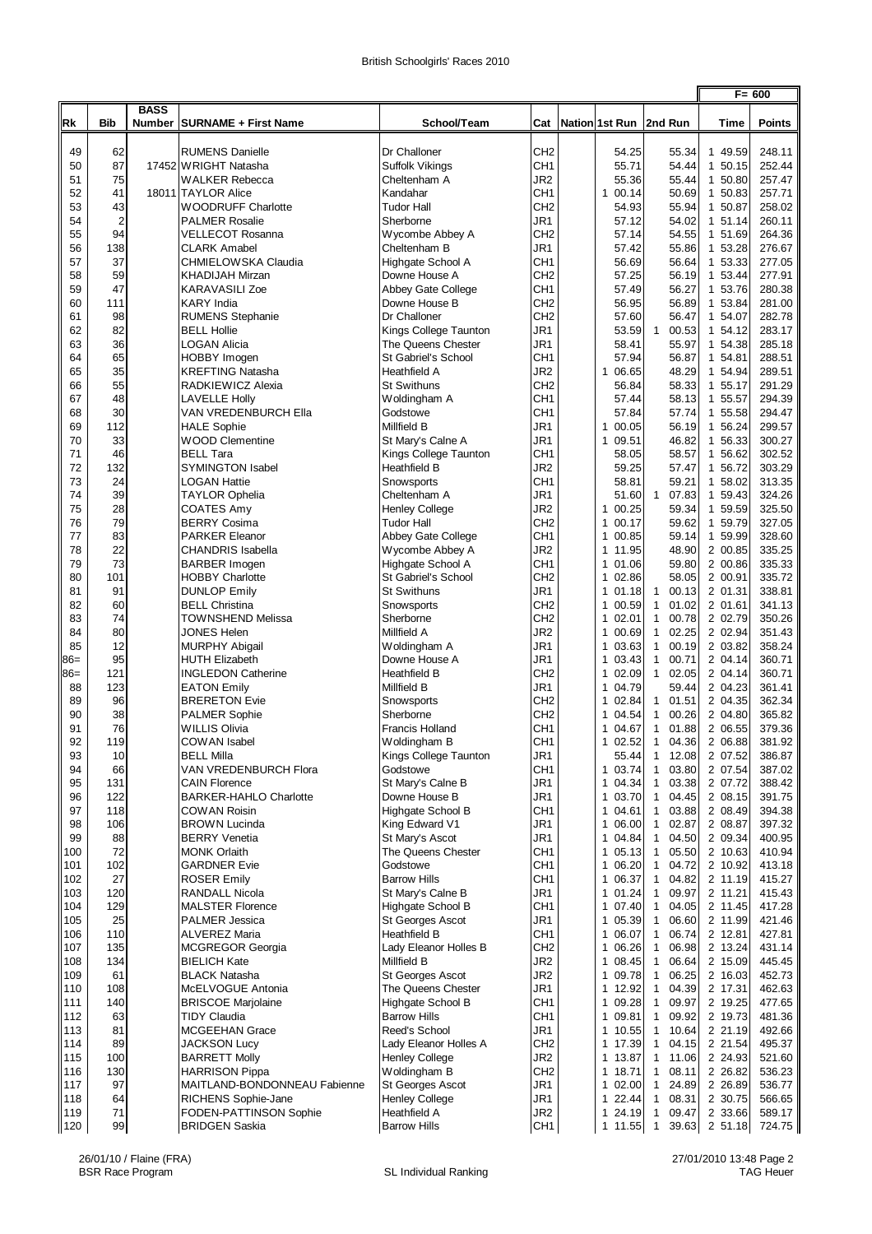|                |                |             |                                                  |                                       |                        |  |                                  |                                                | $F = 600$          |             |                  |
|----------------|----------------|-------------|--------------------------------------------------|---------------------------------------|------------------------|--|----------------------------------|------------------------------------------------|--------------------|-------------|------------------|
| <b>Rk</b>      | <b>Bib</b>     | <b>BASS</b> | Number SURNAME + First Name                      | School/Team                           | Cat                    |  | Nation 1st Run   2nd Run         |                                                |                    | <b>Time</b> | <b>Points</b>    |
| 49             | 62             |             | <b>RUMENS Danielle</b>                           | Dr Challoner                          | CH <sub>2</sub>        |  | 54.25                            | 55.34                                          | 1 49.59            |             | 248.11           |
| 50             | 87             |             | 17452 WRIGHT Natasha                             | Suffolk Vikings                       | CH1                    |  | 55.71                            | 54.44                                          | 1 50.15            |             | 252.44           |
| 51             | 75             |             | <b>WALKER Rebecca</b>                            | Cheltenham A                          | JR2                    |  | 55.36                            | 55.44                                          | 1 50.80            |             | 257.47           |
| 52             | 41             |             | 18011 TAYLOR Alice                               | Kandahar                              | CH <sub>1</sub>        |  | $\mathbf{1}$<br>00.14            | 50.69                                          | 1 50.83            |             | 257.71           |
| 53             | 43             |             | <b>WOODRUFF Charlotte</b>                        | <b>Tudor Hall</b>                     | CH <sub>2</sub>        |  | 54.93                            | 55.94                                          | 1 50.87            |             | 258.02           |
| 54             | $\overline{2}$ |             | <b>PALMER Rosalie</b>                            | Sherborne                             | JR1                    |  | 57.12                            | 54.02                                          | 1 51.14            |             | 260.11           |
| 55             | 94             |             | <b>VELLECOT Rosanna</b>                          | Wycombe Abbey A                       | CH <sub>2</sub>        |  | 57.14                            | 54.55                                          | 1 51.69            |             | 264.36           |
| 56             | 138            |             | <b>CLARK Amabel</b>                              | Cheltenham B                          | JR1                    |  | 57.42                            | 55.86                                          | 1 53.28            |             | 276.67           |
| 57             | 37             |             | CHMIELOWSKA Claudia                              | Highgate School A                     | CH <sub>1</sub>        |  | 56.69                            | 56.64                                          | 1 53.33            |             | 277.05           |
| 58             | 59             |             | <b>KHADIJAH Mirzan</b>                           | Downe House A                         | CH <sub>2</sub>        |  | 57.25                            | 56.19                                          | 1 53.44            |             | 277.91           |
| 59             | 47             |             | <b>KARAVASILI Zoe</b>                            | Abbey Gate College                    | CH <sub>1</sub>        |  | 57.49                            | 56.27                                          | 1 53.76            |             | 280.38           |
| 60             | 111            |             | <b>KARY India</b>                                | Downe House B                         | CH <sub>2</sub>        |  | 56.95                            | 56.89                                          | 1 53.84            |             | 281.00           |
| 61             | 98             |             | <b>RUMENS Stephanie</b>                          | Dr Challoner                          | CH <sub>2</sub>        |  | 57.60                            | 56.47                                          | 1 54.07            |             | 282.78           |
| 62             | 82             |             | <b>BELL Hollie</b>                               | Kings College Taunton                 | JR1                    |  | 53.59                            | $\mathbf{1}$<br>00.53                          | 1 54.12            |             | 283.17           |
| 63             | 36             |             | LOGAN Alicia                                     | The Queens Chester                    | JR1                    |  | 58.41                            | 55.97                                          | 1 54.38            |             | 285.18           |
| 64<br>65       | 65             |             | HOBBY Imogen                                     | St Gabriel's School                   | CH <sub>1</sub>        |  | 57.94                            | 56.87                                          | 1 54.81            |             | 288.51           |
| 66             | 35<br>55       |             | <b>KREFTING Natasha</b><br>RADKIEWICZ Alexia     | Heathfield A<br><b>St Swithuns</b>    | JR2<br>CH <sub>2</sub> |  | 1 06.65<br>56.84                 | 48.29<br>58.33                                 | 1 54.94<br>1 55.17 |             | 289.51<br>291.29 |
| 67             | 48             |             | <b>LAVELLE Holly</b>                             | Woldingham A                          | CH <sub>1</sub>        |  | 57.44                            | 58.13                                          | 1 55.57            |             | 294.39           |
| 68             | 30             |             | VAN VREDENBURCH Ella                             | Godstowe                              | CH <sub>1</sub>        |  | 57.84                            | 57.74                                          | 1 55.58            |             | 294.47           |
| 69             | 112            |             | <b>HALE Sophie</b>                               | Millfield B                           | JR1                    |  | 00.05<br>$\mathbf{1}$            | 56.19                                          | 1 56.24            |             | 299.57           |
| 70             | 33             |             | <b>WOOD Clementine</b>                           | St Mary's Calne A                     | JR1                    |  | 09.51<br>$\mathbf{1}$            | 46.82                                          | 1 56.33            |             | 300.27           |
| 71             | 46             |             | <b>BELL Tara</b>                                 | Kings College Taunton                 | CH <sub>1</sub>        |  | 58.05                            | 58.57                                          | 1 56.62            |             | 302.52           |
| 72             | 132            |             | <b>SYMINGTON Isabel</b>                          | Heathfield B                          | JR2                    |  | 59.25                            | 57.47                                          | 1 56.72            |             | 303.29           |
| 73             | 24             |             | <b>LOGAN Hattie</b>                              | Snowsports                            | CH <sub>1</sub>        |  | 58.81                            | 59.21                                          | 1 58.02            |             | 313.35           |
| 74             | 39             |             | <b>TAYLOR Ophelia</b>                            | Cheltenham A                          | JR1                    |  | 51.60                            | $\mathbf{1}$<br>07.83                          | 1 59.43            |             | 324.26           |
| 75             | 28             |             | COATES Amy                                       | <b>Henley College</b>                 | JR2                    |  | 00.25<br>$\mathbf{1}$            | 59.34                                          | 1 59.59            |             | 325.50           |
| 76             | 79             |             | <b>BERRY Cosima</b>                              | Tudor Hall                            | CH <sub>2</sub>        |  | 1 00.17                          | 59.62                                          | 1 59.79            |             | 327.05           |
| 77             | 83             |             | <b>PARKER Eleanor</b>                            | Abbey Gate College                    | CH <sub>1</sub>        |  | 1 00.85                          | 59.14                                          | 1 59.99            |             | 328.60           |
| 78             | 22             |             | <b>CHANDRIS Isabella</b>                         | Wycombe Abbey A                       | JR <sub>2</sub>        |  | 1 11.95                          | 48.90                                          | 2 00.85            |             | 335.25           |
| 79             | 73             |             | <b>BARBER Imogen</b>                             | Highgate School A                     | CH <sub>1</sub>        |  | 1 01.06                          | 59.80                                          | 2 00.86            |             | 335.33           |
| 80             | 101            |             | <b>HOBBY Charlotte</b>                           | St Gabriel's School                   | CH <sub>2</sub>        |  | 1 02.86                          | 58.05                                          | 2 00.91            |             | 335.72           |
| 81             | 91             |             | <b>DUNLOP Emily</b>                              | <b>St Swithuns</b>                    | JR1                    |  | 101.18                           | $\mathbf{1}$<br>00.13                          | 2 01.31            |             | 338.81           |
| 82             | 60             |             | <b>BELL Christina</b>                            | Snowsports                            | CH <sub>2</sub>        |  | 1 00.59                          | $\mathbf{1}$<br>01.02                          | 2 01.61            |             | 341.13           |
| 83             | 74             |             | <b>TOWNSHEND Melissa</b>                         | Sherborne                             | CH <sub>2</sub>        |  | 1 02.01                          | 1<br>00.78                                     | 2 02.79            |             | 350.26           |
| 84             | 80             |             | JONES Helen                                      | Millfield A                           | JR2                    |  | 1 00.69                          | 02.25<br>$\mathbf{1}$                          | 2 02.94            |             | 351.43           |
| 85             | 12<br>95       |             | <b>MURPHY Abigail</b><br><b>HUTH Elizabeth</b>   | Woldingham A<br>Downe House A         | JR1<br>JR1             |  | 1 03.63<br>03.43<br>$\mathbf{1}$ | 00.19<br>$\mathbf{1}$<br>00.71<br>$\mathbf{1}$ | 2 03.82<br>2 04.14 |             | 358.24<br>360.71 |
| $86=$<br>$86=$ | 121            |             | <b>INGLEDON Catherine</b>                        | Heathfield B                          | CH <sub>2</sub>        |  | 1 02.09                          | 1 02.05                                        | 2 04.14            |             | 360.71           |
| 88             | 123            |             | <b>EATON Emily</b>                               | Millfield B                           | JR1                    |  | 1 04.79                          | 59.44                                          | 2 04.23            |             | 361.41           |
| 89             | 96             |             | <b>BRERETON Evie</b>                             | Snowsports                            | CH <sub>2</sub>        |  | 1 02.84                          | 01.51<br>$\mathbf{1}$                          | 2 04.35            |             | 362.34           |
| 90             | 38             |             | <b>PALMER Sophie</b>                             | Sherborne                             | CH <sub>2</sub>        |  | 1 04.54                          | 00.26<br>$\mathbf{1}$                          | 2 04.80            |             | 365.82           |
| 91             | 76             |             | <b>WILLIS Olivia</b>                             | Francis Holland                       | CH <sub>1</sub>        |  | 1 04.67                          | 01.88<br>$\mathbf{1}$                          | 2 06.55            |             | 379.36           |
| 92             | 119            |             | COWAN Isabel                                     | Woldingham B                          | CH <sub>1</sub>        |  | 1 02.52                          | $\mathbf{1}$<br>04.36                          | 2 06.88            |             | 381.92           |
| 93             | 10             |             | <b>BELL Milla</b>                                | Kings College Taunton                 | JR1                    |  | 55.44                            | 12.08<br>1                                     | 2 07.52            |             | 386.87           |
| 94             | 66             |             | VAN VREDENBURCH Flora                            | Godstowe                              | CH <sub>1</sub>        |  | 1 03.74                          | 03.80<br>$\mathbf{1}$                          | 2 07.54            |             | 387.02           |
| 95             | 131            |             | <b>CAIN Florence</b>                             | St Mary's Calne B                     | JR1                    |  | 1<br>04.34                       | 03.38<br>$\mathbf{1}$                          | 2 07.72            |             | 388.42           |
| 96             | 122            |             | <b>BARKER-HAHLO Charlotte</b>                    | Downe House B                         | JR1                    |  | 1 03.70                          | $\mathbf{1}$<br>04.45                          | 2 08.15            |             | 391.75           |
| 97             | 118            |             | <b>COWAN Roisin</b>                              | Highgate School B                     | CH <sub>1</sub>        |  | 1 04.61                          | 03.88<br>$\mathbf{1}$                          | 2 08.49            |             | 394.38           |
| 98             | 106            |             | <b>BROWN Lucinda</b>                             | King Edward V1                        | JR1                    |  | 1 06.00                          | 02.87<br>1                                     | 2 08.87            |             | 397.32           |
| 99             | 88             |             | <b>BERRY Venetia</b>                             | St Mary's Ascot                       | JR1                    |  | 1 04.84                          | 04.50<br>$\mathbf{1}$                          | 2 09.34            |             | 400.95           |
| 100            | 72             |             | <b>MONK Orlaith</b>                              | The Queens Chester                    | CH <sub>1</sub>        |  | 1 05.13                          | $\mathbf{1}$<br>05.50                          | 2 10.63            |             | 410.94           |
| 101            | 102            |             | <b>GARDNER Evie</b>                              | Godstowe                              | CH <sub>1</sub>        |  | 1 06.20                          | 04.72<br>$\mathbf{1}$                          | 2 10.92            |             | 413.18           |
| 102            | 27             |             | <b>ROSER Emily</b>                               | <b>Barrow Hills</b>                   | CH <sub>1</sub>        |  | $\mathbf{1}$<br>06.37            | 04.82<br>1                                     | 2 11.19            |             | 415.27           |
| 103            | 120<br>129     |             | <b>RANDALL Nicola</b>                            | St Mary's Calne B                     | JR1                    |  | 1 01.24                          | 09.97<br>$\mathbf{1}$                          | 2 11.21            |             | 415.43           |
| 104<br>105     | 25             |             | <b>MALSTER Florence</b><br><b>PALMER Jessica</b> | Highgate School B<br>St Georges Ascot | CH1<br>JR1             |  | 1 07.40<br>1 05.39               | 04.05<br>1<br>06.60<br>$\mathbf{1}$            | 2 11.45<br>2 11.99 |             | 417.28<br>421.46 |
| 106            | 110            |             | <b>ALVEREZ Maria</b>                             | Heathfield B                          | CH <sub>1</sub>        |  | 1 06.07                          | $\mathbf{1}$<br>06.74                          | 2 12.81            |             | 427.81           |
| 107            | 135            |             | <b>MCGREGOR Georgia</b>                          | Lady Eleanor Holles B                 | CH <sub>2</sub>        |  | 1 06.26                          | 06.98<br>1                                     | 2 13.24            |             | 431.14           |
| 108            | 134            |             | <b>BIELICH Kate</b>                              | Millfield B                           | JR2                    |  | 1 08.45                          | 06.64<br>$\mathbf{1}$                          | 2 15.09            |             | 445.45           |
| 109            | 61             |             | <b>BLACK Natasha</b>                             | St Georges Ascot                      | JR2                    |  | 1 09.78                          | $\mathbf{1}$<br>06.25                          | 2 16.03            |             | 452.73           |
| 110            | 108            |             | McELVOGUE Antonia                                | The Queens Chester                    | JR1                    |  | 1 12.92                          | 04.39<br>$\mathbf{1}$                          | 2 17.31            |             | 462.63           |
| 111            | 140            |             | <b>BRISCOE Marjolaine</b>                        | Highgate School B                     | CH1                    |  | $\mathbf{1}$<br>09.28            | 09.97<br>1                                     | 2 19.25            |             | 477.65           |
| 112            | 63             |             | <b>TIDY Claudia</b>                              | <b>Barrow Hills</b>                   | CH <sub>1</sub>        |  | 1 09.81                          | 09.92<br>$\mathbf{1}$                          | 2 19.73            |             | 481.36           |
| 113            | 81             |             | MCGEEHAN Grace                                   | Reed's School                         | JR1                    |  | 1 10.55                          | 10.64<br>1                                     | 2 21.19            |             | 492.66           |
| 114            | 89             |             | <b>JACKSON Lucy</b>                              | Lady Eleanor Holles A                 | CH <sub>2</sub>        |  | 1 17.39                          | 04.15<br>$\mathbf{1}$                          | 2 21.54            |             | 495.37           |
| 115            | 100            |             | <b>BARRETT Molly</b>                             | Henley College                        | JR2                    |  | 1 13.87                          | 1 11.06                                        | 2 24.93            |             | 521.60           |
| 116            | 130            |             | <b>HARRISON Pippa</b>                            | Woldingham B                          | CH2                    |  | 1 18.71                          | $\mathbf{1}$<br>08.11                          | 2 26.82            |             | 536.23           |
| 117            | 97             |             | MAITLAND-BONDONNEAU Fabienne                     | St Georges Ascot                      | JR1                    |  | 1 02.00                          | 24.89<br>$\mathbf{1}$                          | 2 26.89            |             | 536.77           |
| 118            | 64             |             | RICHENS Sophie-Jane                              | <b>Henley College</b>                 | JR1                    |  | $\mathbf{1}$<br>22.44            | 08.31<br>$\mathbf{1}$                          | 2 30.75            |             | 566.65           |
| 119            | 71             |             | FODEN-PATTINSON Sophie                           | Heathfield A                          | JR <sub>2</sub>        |  | 1 24.19                          | 09.47<br>$\mathbf{1}$                          | 2 33.66            |             | 589.17           |
| 120            | 99             |             | <b>BRIDGEN Saskia</b>                            | <b>Barrow Hills</b>                   | CH1                    |  | 11.55                            | 39.63<br>$\mathbf{1}$                          | 2 51.18            |             | 724.75           |